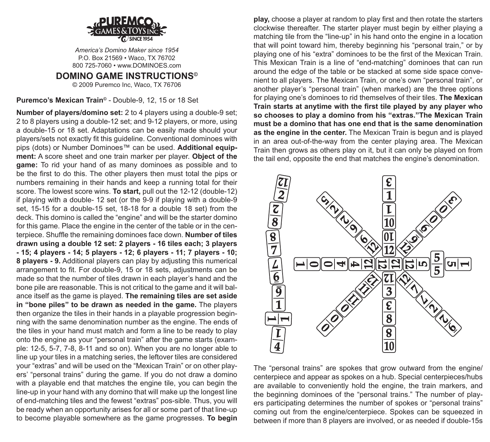

*America's Domino Maker since 1954* P.O. Box 21569 • Waco, TX 76702 800 725-7060 • www.DOMINOES.com

**DOMINO GAME INSTRUCTIONS©** © 2009 Puremco Inc, Waco, TX 76706

**Puremco's Mexican Train©** - Double-9, 12, 15 or 18 Set

**Number of players/domino set:** 2 to 4 players using a double-9 set; 2 to 8 players using a double-12 set; and 9-12 players, or more, using a double-15 or 18 set. Adaptations can be easily made should your players/sets not exactly fit this guideline. Conventional dominoes with pips (dots) or Number Dominoes™ can be used. **Additional equipment:** A score sheet and one train marker per player. **Object of the game:** To rid your hand of as many dominoes as possible and to be the first to do this. The other players then must total the pips or numbers remaining in their hands and keep a running total for their score. The lowest score wins. **To start,** pull out the 12-12 (double-12) if playing with a double- 12 set (or the 9-9 if playing with a double-9 set, 15-15 for a double-15 set, 18-18 for a double 18 set) from the deck. This domino is called the "engine" and will be the starter domino for this game. Place the engine in the center of the table or in the centerpiece. Shuffle the remaining dominoes face down. **Number of tiles drawn using a double 12 set: 2 players - 16 tiles each; 3 players - 15; 4 players - 14; 5 players - 12; 6 players - 11; 7 players - 10; 8 players - 9.** Additional players can play by adjusting this numerical arrangement to fit. For double-9, 15 or 18 sets, adjustments can be made so that the number of tiles drawn in each player's hand and the bone pile are reasonable. This is not critical to the game and it will balance itself as the game is played. **The remaining tiles are set aside in "bone piles" to be drawn as needed in the game.** The players then organize the tiles in their hands in a playable progression beginning with the same denomination number as the engine. The ends of the tiles in your hand must match and form a line to be ready to play onto the engine as your "personal train" after the game starts (example: 12-5, 5-7, 7-8, 8-11 and so on). When you are no longer able to line up your tiles in a matching series, the leftover tiles are considered your "extras" and will be used on the "Mexican Train" or on other players' "personal trains" during the game. If you do not draw a domino with a playable end that matches the engine tile, you can begin the line-up in your hand with any domino that will make up the longest line of end-matching tiles and the fewest "extras" pos-sible. Thus, you will be ready when an opportunity arises for all or some part of that line-up to become playable somewhere as the game progresses. **To begin** 

**play,** choose a player at random to play first and then rotate the starters clockwise thereafter. The starter player must begin by either playing a matching tile from the "line-up" in his hand onto the engine in a location that will point toward him, thereby beginning his "personal train," or by playing one of his "extra" dominoes to be the first of the Mexican Train. This Mexican Train is a line of "end-matching" dominoes that can run around the edge of the table or be stacked at some side space convenient to all players. The Mexican Train, or one's own "personal train", or another player's "personal train" (when marked) are the three options for playing one's dominoes to rid themselves of their tiles. **The Mexican Train starts at anytime with the first tile played by any player who so chooses to play a domino from his "extras."The Mexican Train must be a domino that has one end that is the same denomination as the engine in the center.** The Mexican Train is begun and is played in an area out-of-the-way from the center playing area. The Mexican Train then grows as others play on it, but it can only be played on from the tail end, opposite the end that matches the engine's denomination.



The "personal trains" are spokes that grow outward from the engine/ centerpiece and appear as spokes on a hub. Special centerpieces/hubs are available to conveniently hold the engine, the train markers, and the beginning dominoes of the "personal trains." The number of players participating determines the number of spokes or "personal trains" coming out from the engine/centerpiece. Spokes can be squeezed in between if more than 8 players are involved, or as needed if double-15s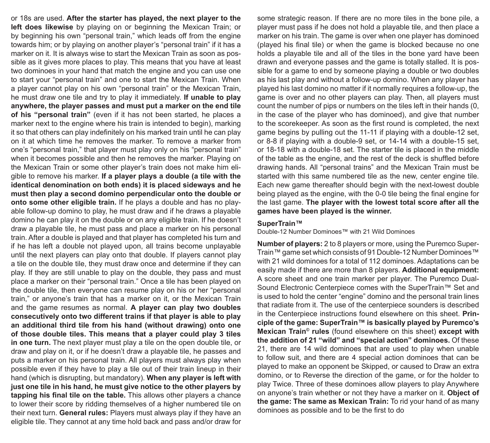or 18s are used. **After the starter has played, the next player to the left does likewise** by playing on or beginning the Mexican Train; or by beginning his own "personal train," which leads off from the engine towards him; or by playing on another player's "personal train" if it has a marker on it. It is always wise to start the Mexican Train as soon as possible as it gives more places to play. This means that you have at least two dominoes in your hand that match the engine and you can use one to start your "personal train" and one to start the Mexican Train. When a player cannot play on his own "personal train" or the Mexican Train, he must draw one tile and try to play it immediately. **If unable to play anywhere, the player passes and must put a marker on the end tile of his "personal train"** (even if it has not been started, he places a marker next to the engine where his train is intended to begin), marking it so that others can play indefinitely on his marked train until he can play on it at which time he removes the marker. To remove a marker from one's "personal train," that player must play only on his "personal train" when it becomes possible and then he removes the marker. Playing on the Mexican Train or some other player's train does not make him eligible to remove his marker. **If a player plays a double (a tile with the identical denomination on both ends) it is placed sideways and he must then play a second domino perpendicular onto the double or onto some other eligible train.** If he plays a double and has no playable follow-up domino to play, he must draw and if he draws a playable domino he can play it on the double or on any eligible train. If he doesn't draw a playable tile, he must pass and place a marker on his personal train. After a double is played and that player has completed his turn and if he has left a double not played upon, all trains become unplayable until the next players can play onto that double. If players cannot play a tile on the double tile, they must draw once and determine if they can play. If they are still unable to play on the double, they pass and must place a marker on their "personal train." Once a tile has been played on the double tile, then everyone can resume play on his or her "personal train," or anyone's train that has a marker on it, or the Mexican Train and the game resumes as normal. **A player can play two doubles consecutively onto two different trains if that player is able to play an additional third tile from his hand (without drawing) onto one of those double tiles. This means that a player could play 3 tiles in one turn.** The next player must play a tile on the open double tile, or draw and play on it, or if he doesn't draw a playable tile, he passes and puts a marker on his personal train. All players must always play when possible even if they have to play a tile out of their train lineup in their hand (which is disrupting, but mandatory). **When any player is left with just one tile in his hand, he must give notice to the other players by tapping his final tile on the table.** This allows other players a chance to lower their score by ridding themselves of a higher numbered tile on their next turn. **General rules:** Players must always play if they have an eligible tile. They cannot at any time hold back and pass and/or draw for

some strategic reason. If there are no more tiles in the bone pile, a player must pass if he does not hold a playable tile, and then place a marker on his train. The game is over when one player has dominoed (played his final tile) or when the game is blocked because no one holds a playable tile and all of the tiles in the bone yard have been drawn and everyone passes and the game is totally stalled. It is possible for a game to end by someone playing a double or two doubles as his last play and without a follow-up domino. When any player has played his last domino no matter if it normally requires a follow-up, the game is over and no other players can play. Then, all players must count the number of pips or numbers on the tiles left in their hands (0, in the case of the player who has dominoed), and give that number to the scorekeeper. As soon as the first round is completed, the next game begins by pulling out the 11-11 if playing with a double-12 set, or 8-8 if playing with a double-9 set, or 14-14 with a double-15 set, or 18-18 with a double-18 set. The starter tile is placed in the middle of the table as the engine, and the rest of the deck is shuffled before drawing hands. All "personal trains" and the Mexican Train must be started with this same numbered tile as the new, center engine tile. Each new game thereafter should begin with the next-lowest double being played as the engine, with the 0-0 tile being the final engine for the last game. **The player with the lowest total score after all the games have been played is the winner.**

## **SuperTrain™**

Double-12 Number Dominoes™ with 21 Wild Dominoes

**Number of players:** 2 to 8 players or more, using the Puremco Super-Train™ game set which consists of 91 Double-12 Number Dominoes™ with 21 wild dominoes for a total of 112 dominoes. Adaptations can be easily made if there are more than 8 players. **Additional equipment:** A score sheet and one train marker per player. The Puremco Dual-Sound Electronic Centerpiece comes with the SuperTrain™ Set and is used to hold the center "engine" domino and the personal train lines that radiate from it. The use of the centerpiece sounders is described in the Centerpiece instructions found elsewhere on this sheet. **Principle of the game: SuperTrain™ is basically played by Puremco's Mexican Train© rules** (found elsewhere on this sheet) **except with the addition of 21 "wild" and "special action" dominoes.** Of these 21, there are 14 wild dominoes that are used to play when unable to follow suit, and there are 4 special action dominoes that can be played to make an opponent be Skipped, or caused to Draw an extra domino, or to Reverse the direction of the game, or for the holder to play Twice. Three of these dominoes allow players to play Anywhere on anyone's train whether or not they have a marker on it. **Object of the game: The same as Mexican Train:** To rid your hand of as many dominoes as possible and to be the first to do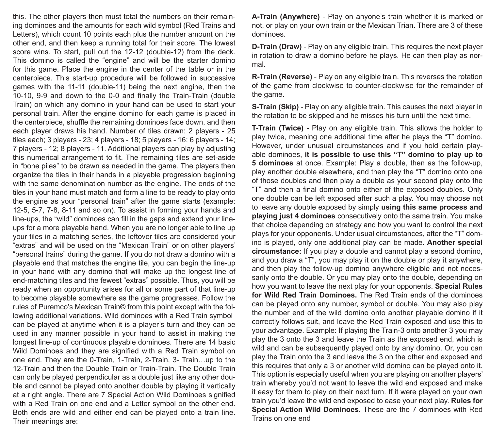this. The other players then must total the numbers on their remaining dominoes and the amounts for each wild symbol (Red Trains and Letters), which count 10 points each plus the number amount on the other end, and then keep a running total for their score. The lowest score wins. To start, pull out the 12-12 (double-12) from the deck. This domino is called the "engine" and will be the starter domino for this game. Place the engine in the center of the table or in the centerpiece. This start-up procedure will be followed in successive games with the 11-11 (double-11) being the next engine, then the 10-10, 9-9 and down to the 0-0 and finally the Train-Train (double Train) on which any domino in your hand can be used to start your personal train. After the engine domino for each game is placed in the centerpiece, shuffle the remaining dominoes face down, and then each player draws his hand. Number of tiles drawn: 2 players - 25 tiles each; 3 players - 23; 4 players - 18; 5 players - 16; 6 players - 14; 7 players - 12; 8 players - 11. Additional players can play by adjusting this numerical arrangement to fit. The remaining tiles are set-aside in "bone piles" to be drawn as needed in the game. The players then organize the tiles in their hands in a playable progression beginning with the same denomination number as the engine. The ends of the tiles in your hand must match and form a line to be ready to play onto the engine as your "personal train" after the game starts (example: 12-5, 5-7, 7-8, 8-11 and so on). To assist in forming your hands and line-ups, the "wild" dominoes can fill in the gaps and extend your lineups for a more playable hand. When you are no longer able to line up your tiles in a matching series, the leftover tiles are considered your "extras" and will be used on the "Mexican Train" or on other players' "personal trains" during the game. If you do not draw a domino with a playable end that matches the engine tile, you can begin the line-up in your hand with any domino that will make up the longest line of end-matching tiles and the fewest "extras" possible. Thus, you will be ready when an opportunity arises for all or some part of that line-up to become playable somewhere as the game progresses. Follow the rules of Puremco's Mexican Train© from this point except with the following additional variations. Wild dominoes with a Red Train symbol can be played at anytime when it is a player's turn and they can be used in any manner possible in your hand to assist in making the longest line-up of continuous playable dominoes. There are 14 basic Wild Dominoes and they are signified with a Red Train symbol on one end. They are the 0-Train, 1-Train, 2-Train, 3- Train…up to the 12-Train and then the Double Train or Train-Train. The Double Train can only be played perpendicular as a double just like any other double and cannot be played onto another double by playing it vertically at a right angle. There are 7 Special Action Wild Dominoes signified with a Red Train on one end and a Letter symbol on the other end. Both ends are wild and either end can be played onto a train line. Their meanings are:

**A-Train (Anywhere)** - Play on anyone's train whether it is marked or not, or play on your own train or the Mexican Trian. There are 3 of these dominoes.

**D-Train (Draw)** - Play on any eligible train. This requires the next player in rotation to draw a domino before he plays. He can then play as normal.

**R-Train (Reverse)** - Play on any eligible train. This reverses the rotation of the game from clockwise to counter-clockwise for the remainder of the game.

**S-Train (Skip)** - Play on any eligible train. This causes the next player in the rotation to be skipped and he misses his turn until the next time.

**T-Train (Twice)** - Play on any eligible train. This allows the holder to play twice, meaning one additional time after he plays the "T" domino. However, under unusual circumstances and if you hold certain playable dominoes, **it is possible to use this "T" domino to play up to 5 dominoes** at once. Example: Play a double, then as the follow-up, play another double elsewhere, and then play the "T" domino onto one of those doubles and then play a double as your second play onto the "T" and then a final domino onto either of the exposed doubles. Only one double can be left exposed after such a play. You may choose not to leave any double exposed by simply **using this same process and playing just 4 dominoes** consecutively onto the same train. You make that choice depending on strategy and how you want to control the next plays for your opponents. Under usual circumstances, after the "T" domino is played, only one additional play can be made. **Another special circumstance:** If you play a double and cannot play a second domino, and you draw a "T", you may play it on the double or play it anywhere, and then play the follow-up domino anywhere eligible and not necessarily onto the double. Or you may play onto the double, depending on how you want to leave the next play for your opponents. **Special Rules for Wild Red Train Dominoes.** The Red Train ends of the dominoes can be played onto any number, symbol or double. You may also play the number end of the wild domino onto another playable domino if it correctly follows suit, and leave the Red Train exposed and use this to your advantage. Example: If playing the Train-3 onto another 3 you may play the 3 onto the 3 and leave the Train as the exposed end, which is wild and can be subsequently played onto by any domino. Or, you can play the Train onto the 3 and leave the 3 on the other end exposed and this requires that only a 3 or another wild domino can be played onto it. This option is especially useful when you are playing on another players' train whereby you'd not want to leave the wild end exposed and make it easy for them to play on their next turn. If it were played on your own train you'd leave the wild end exposed to ease your next play. **Rules for Special Action Wild Dominoes.** These are the 7 dominoes with Red Trains on one end